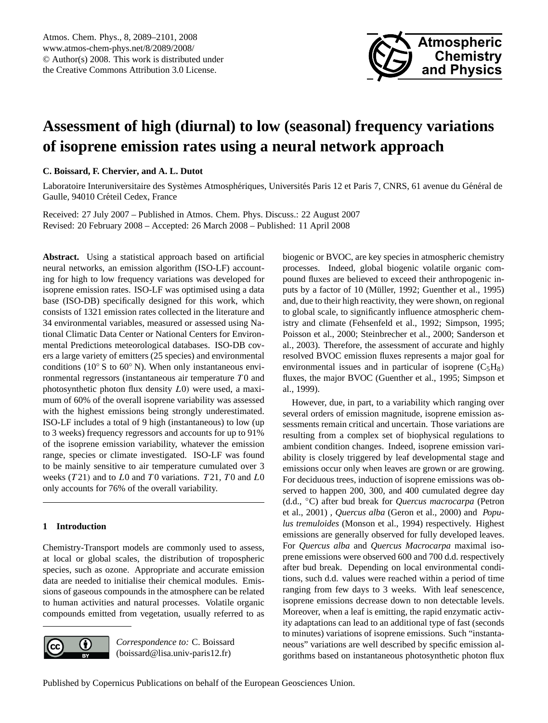

# <span id="page-0-0"></span>**Assessment of high (diurnal) to low (seasonal) frequency variations of isoprene emission rates using a neural network approach**

# **C. Boissard, F. Chervier, and A. L. Dutot**

Laboratoire Interuniversitaire des Systèmes Atmosphériques, Universités Paris 12 et Paris 7, CNRS, 61 avenue du Général de Gaulle, 94010 Créteil Cedex, France

Received: 27 July 2007 – Published in Atmos. Chem. Phys. Discuss.: 22 August 2007 Revised: 20 February 2008 – Accepted: 26 March 2008 – Published: 11 April 2008

**Abstract.** Using a statistical approach based on artificial neural networks, an emission algorithm (ISO-LF) accounting for high to low frequency variations was developed for isoprene emission rates. ISO-LF was optimised using a data base (ISO-DB) specifically designed for this work, which consists of 1321 emission rates collected in the literature and 34 environmental variables, measured or assessed using National Climatic Data Center or National Centers for Environmental Predictions meteorological databases. ISO-DB covers a large variety of emitters (25 species) and environmental conditions ( $10° S$  to  $60° N$ ). When only instantaneous environmental regressors (instantaneous air temperature  $T0$  and photosynthetic photon flux density L0) were used, a maximum of 60% of the overall isoprene variability was assessed with the highest emissions being strongly underestimated. ISO-LF includes a total of 9 high (instantaneous) to low (up to 3 weeks) frequency regressors and accounts for up to 91% of the isoprene emission variability, whatever the emission range, species or climate investigated. ISO-LF was found to be mainly sensitive to air temperature cumulated over 3 weeks  $(T21)$  and to  $L0$  and  $T0$  variations.  $T21$ ,  $T0$  and  $L0$ only accounts for 76% of the overall variability.

# **1 Introduction**

Chemistry-Transport models are commonly used to assess, at local or global scales, the distribution of tropospheric species, such as ozone. Appropriate and accurate emission data are needed to initialise their chemical modules. Emissions of gaseous compounds in the atmosphere can be related to human activities and natural processes. Volatile organic compounds emitted from vegetation, usually referred to as



*Correspondence to:* C. Boissard (boissard@lisa.univ-paris12.fr)

biogenic or BVOC, are key species in atmospheric chemistry processes. Indeed, global biogenic volatile organic compound fluxes are believed to exceed their anthropogenic inputs by a factor of 10 (Müller, 1992; Guenther et al., 1995) and, due to their high reactivity, they were shown, on regional to global scale, to significantly influence atmospheric chemistry and climate (Fehsenfeld et al., 1992; Simpson, 1995; Poisson et al., 2000; Steinbrecher et al., 2000; Sanderson et al., 2003). Therefore, the assessment of accurate and highly resolved BVOC emission fluxes represents a major goal for environmental issues and in particular of isoprene  $(C_5H_8)$ fluxes, the major BVOC (Guenther et al., 1995; Simpson et al., 1999).

However, due, in part, to a variability which ranging over several orders of emission magnitude, isoprene emission assessments remain critical and uncertain. Those variations are resulting from a complex set of biophysical regulations to ambient condition changes. Indeed, isoprene emission variability is closely triggered by leaf developmental stage and emissions occur only when leaves are grown or are growing. For deciduous trees, induction of isoprene emissions was observed to happen 200, 300, and 400 cumulated degree day (d.d., ◦C) after bud break for *Quercus macrocarpa* (Petron et al., 2001) *, Quercus alba* (Geron et al., 2000) and *Populus tremuloides* (Monson et al., 1994) respectively. Highest emissions are generally observed for fully developed leaves. For *Quercus alba* and *Quercus Macrocarpa* maximal isoprene emissions were observed 600 and 700 d.d. respectively after bud break. Depending on local environmental conditions, such d.d. values were reached within a period of time ranging from few days to 3 weeks. With leaf senescence, isoprene emissions decrease down to non detectable levels. Moreover, when a leaf is emitting, the rapid enzymatic activity adaptations can lead to an additional type of fast (seconds to minutes) variations of isoprene emissions. Such "instantaneous" variations are well described by specific emission algorithms based on instantaneous photosynthetic photon flux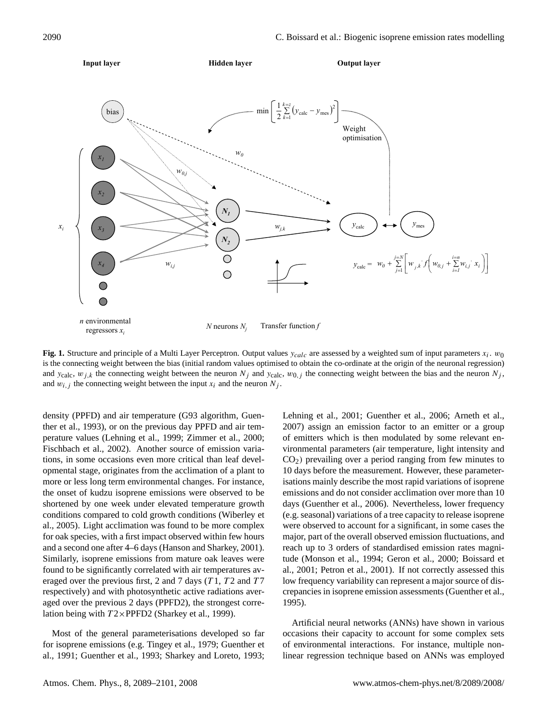

**Fig. 1.** Structure and principle of a Multi Layer Perceptron. Output values  $y_{calc}$  are assessed by a weighted sum of input parameters  $x_i$ .  $w_0$ is the connecting weight between the bias (initial random values optimised to obtain the co-ordinate at the origin of the neuronal regression) and  $y_{\text{calc}}$ ,  $w_{j,k}$  the connecting weight between the neuron  $N_j$  and  $y_{\text{calc}}$ ,  $w_{0,j}$  the connecting weight between the bias and the neuron  $N_j$ . and  $w_{i,j}$  the connecting weight between the input  $x_i$  and the neuron  $N_j$ .

density (PPFD) and air temperature (G93 algorithm, Guenther et al., 1993), or on the previous day PPFD and air temperature values (Lehning et al., 1999; Zimmer et al., 2000; Fischbach et al., 2002). Another source of emission variations, in some occasions even more critical than leaf developmental stage, originates from the acclimation of a plant to more or less long term environmental changes. For instance, the onset of kudzu isoprene emissions were observed to be shortened by one week under elevated temperature growth conditions compared to cold growth conditions (Wiberley et al., 2005). Light acclimation was found to be more complex for oak species, with a first impact observed within few hours and a second one after 4–6 days (Hanson and Sharkey, 2001). Similarly, isoprene emissions from mature oak leaves were found to be significantly correlated with air temperatures averaged over the previous first, 2 and 7 days  $(T1, T2$  and  $T7$ respectively) and with photosynthetic active radiations averaged over the previous 2 days (PPFD2), the strongest correlation being with  $T2\times$ PPFD2 (Sharkey et al., 1999).

Most of the general parameterisations developed so far for isoprene emissions (e.g. Tingey et al., 1979; Guenther et al., 1991; Guenther et al., 1993; Sharkey and Loreto, 1993; Lehning et al., 2001; Guenther et al., 2006; Arneth et al., 2007) assign an emission factor to an emitter or a group of emitters which is then modulated by some relevant environmental parameters (air temperature, light intensity and  $CO<sub>2</sub>$ ) prevailing over a period ranging from few minutes to 10 days before the measurement. However, these parameterisations mainly describe the most rapid variations of isoprene emissions and do not consider acclimation over more than 10 days (Guenther et al., 2006). Nevertheless, lower frequency (e.g. seasonal) variations of a tree capacity to release isoprene were observed to account for a significant, in some cases the major, part of the overall observed emission fluctuations, and reach up to 3 orders of standardised emission rates magnitude (Monson et al., 1994; Geron et al., 2000; Boissard et al., 2001; Petron et al., 2001). If not correctly assessed this low frequency variability can represent a major source of discrepancies in isoprene emission assessments (Guenther et al., 1995).

Artificial neural networks (ANNs) have shown in various occasions their capacity to account for some complex sets of environmental interactions. For instance, multiple nonlinear regression technique based on ANNs was employed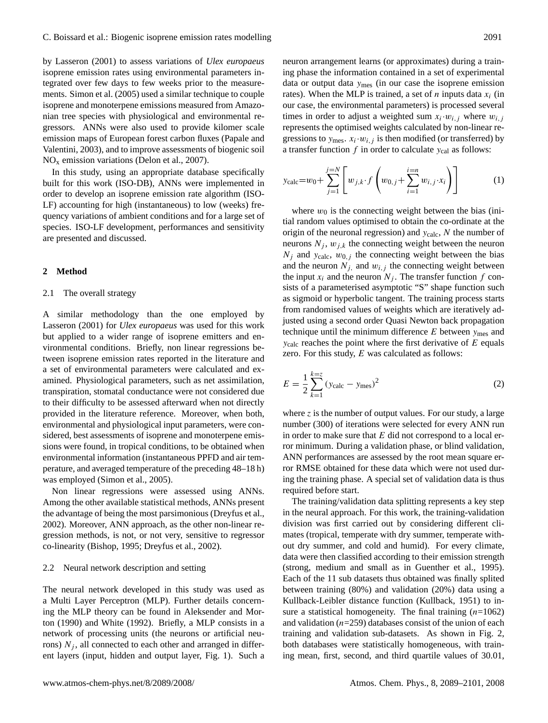by Lasseron (2001) to assess variations of *Ulex europaeus* isoprene emission rates using environmental parameters integrated over few days to few weeks prior to the measurements. Simon et al. (2005) used a similar technique to couple isoprene and monoterpene emissions measured from Amazonian tree species with physiological and environmental regressors. ANNs were also used to provide kilomer scale emission maps of European forest carbon fluxes (Papale and Valentini, 2003), and to improve assessments of biogenic soil  $NO<sub>x</sub>$  emission variations (Delon et al., 2007).

In this study, using an appropriate database specifically built for this work (ISO-DB), ANNs were implemented in order to develop an isoprene emission rate algorithm (ISO-LF) accounting for high (instantaneous) to low (weeks) frequency variations of ambient conditions and for a large set of species. ISO-LF development, performances and sensitivity are presented and discussed.

# **2 Method**

#### 2.1 The overall strategy

A similar methodology than the one employed by Lasseron (2001) for *Ulex europaeus* was used for this work but applied to a wider range of isoprene emitters and environmental conditions. Briefly, non linear regressions between isoprene emission rates reported in the literature and a set of environmental parameters were calculated and examined. Physiological parameters, such as net assimilation, transpiration, stomatal conductance were not considered due to their difficulty to be assessed afterward when not directly provided in the literature reference. Moreover, when both, environmental and physiological input parameters, were considered, best assessments of isoprene and monoterpene emissions were found, in tropical conditions, to be obtained when environmental information (instantaneous PPFD and air temperature, and averaged temperature of the preceding 48–18 h) was employed (Simon et al., 2005).

Non linear regressions were assessed using ANNs. Among the other available statistical methods, ANNs present the advantage of being the most parsimonious (Dreyfus et al., 2002). Moreover, ANN approach, as the other non-linear regression methods, is not, or not very, sensitive to regressor co-linearity (Bishop, 1995; Dreyfus et al., 2002).

#### 2.2 Neural network description and setting

The neural network developed in this study was used as a Multi Layer Perceptron (MLP). Further details concerning the MLP theory can be found in Aleksender and Morton (1990) and White (1992). Briefly, a MLP consists in a network of processing units (the neurons or artificial neurons)  $N_i$ , all connected to each other and arranged in different layers (input, hidden and output layer, Fig. 1). Such a neuron arrangement learns (or approximates) during a training phase the information contained in a set of experimental data or output data  $y_{\text{mes}}$  (in our case the isoprene emission rates). When the MLP is trained, a set of *n* inputs data  $x_i$  (in our case, the environmental parameters) is processed several times in order to adjust a weighted sum  $x_i \cdot w_{i,j}$  where  $w_{i,j}$ represents the optimised weights calculated by non-linear regressions to  $y_{\text{mes}}$ .  $x_i \cdot w_{i,j}$  is then modified (or transferred) by a transfer function  $f$  in order to calculate  $y_{cal}$  as follows:

$$
y_{\text{calc}} = w_0 + \sum_{j=1}^{j=N} \left[ w_{j,k} \cdot f \left( w_{0,j} + \sum_{i=1}^{i=n} w_{i,j} \cdot x_i \right) \right] \tag{1}
$$

where  $w_0$  is the connecting weight between the bias (initial random values optimised to obtain the co-ordinate at the origin of the neuronal regression) and  $y_{\text{calc}}$ , N the number of neurons  $N_j$ ,  $w_{j,k}$  the connecting weight between the neuron  $N_i$  and  $y_{\text{calc}}$ ,  $w_{0,i}$  the connecting weight between the bias and the neuron  $N_{i}$ , and  $w_{i,j}$  the connecting weight between the input  $x_i$  and the neuron  $N_j$ . The transfer function f consists of a parameterised asymptotic "S" shape function such as sigmoid or hyperbolic tangent. The training process starts from randomised values of weights which are iteratively adjusted using a second order Quasi Newton back propagation technique until the minimum difference  $E$  between  $y_{\text{mes}}$  and  $y_{\text{calc}}$  reaches the point where the first derivative of  $E$  equals zero. For this study,  $E$  was calculated as follows:

$$
E = \frac{1}{2} \sum_{k=1}^{k=z} (y_{\text{calc}} - y_{\text{mes}})^2
$$
 (2)

where  $z$  is the number of output values. For our study, a large number (300) of iterations were selected for every ANN run in order to make sure that  $E$  did not correspond to a local error minimum. During a validation phase, or blind validation, ANN performances are assessed by the root mean square error RMSE obtained for these data which were not used during the training phase. A special set of validation data is thus required before start.

The training/validation data splitting represents a key step in the neural approach. For this work, the training-validation division was first carried out by considering different climates (tropical, temperate with dry summer, temperate without dry summer, and cold and humid). For every climate, data were then classified according to their emission strength (strong, medium and small as in Guenther et al., 1995). Each of the 11 sub datasets thus obtained was finally splited between training (80%) and validation (20%) data using a Kullback-Leibler distance function (Kullback, 1951) to insure a statistical homogeneity. The final training  $(n=1062)$ and validation  $(n=259)$  databases consist of the union of each training and validation sub-datasets. As shown in Fig. 2, both databases were statistically homogeneous, with training mean, first, second, and third quartile values of 30.01,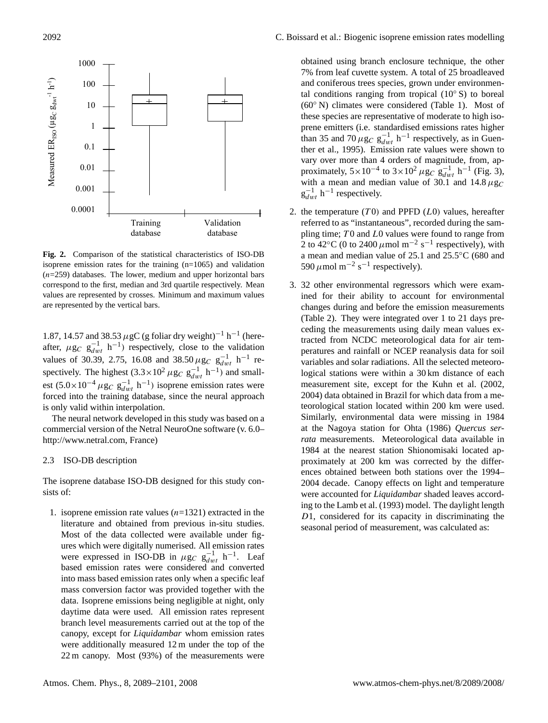

**Fig. 2.** Comparison of the statistical characteristics of ISO-DB isoprene emission rates for the training (n=1065) and validation  $(n=259)$  databases. The lower, medium and upper horizontal bars correspond to the first, median and 3rd quartile respectively. Mean values are represented by crosses. Minimum and maximum values are represented by the vertical bars.

1.87, 14.57 and 38.53  $\mu$ gC (g foliar dry weight)<sup>-1</sup> h<sup>-1</sup> (hereafter,  $\mu$ g<sub>C</sub> g<sub>dwt</sub> h<sup>-1</sup>) respectively, close to the validation values of 30.39, 2.75, 16.08 and 38.50  $\mu$ g<sub>C</sub> g<sub>dwt</sub> h<sup>-1</sup> respectively. The highest  $(3.3 \times 10^2 \,\mu$ g<sub>C</sub> g<sub>dwt</sub> h<sup>-1</sup>) and smallest (5.0×10<sup>-4</sup>  $\mu$ g<sub>C</sub> g<sub>dwt</sub> h<sup>-1</sup>) isoprene emission rates were forced into the training database, since the neural approach is only valid within interpolation.

The neural network developed in this study was based on a commercial version of the Netral NeuroOne software (v. 6.0– [http://www.netral.com,](http://www.netral.com) France)

## 2.3 ISO-DB description

The isoprene database ISO-DB designed for this study consists of:

1. isoprene emission rate values  $(n=1321)$  extracted in the literature and obtained from previous in-situ studies. Most of the data collected were available under figures which were digitally numerised. All emission rates were expressed in ISO-DB in  $\mu$ g<sub>C</sub> g<sub>awt</sub> h<sup>-1</sup>. Leaf based emission rates were considered and converted into mass based emission rates only when a specific leaf mass conversion factor was provided together with the data. Isoprene emissions being negligible at night, only daytime data were used. All emission rates represent branch level measurements carried out at the top of the canopy, except for *Liquidambar* whom emission rates were additionally measured 12 m under the top of the 22 m canopy. Most (93%) of the measurements were

obtained using branch enclosure technique, the other 7% from leaf cuvette system. A total of 25 broadleaved and coniferous trees species, grown under environmental conditions ranging from tropical  $(10° S)$  to boreal  $(60°\text{ N})$  climates were considered (Table 1). Most of these species are representative of moderate to high isoprene emitters (i.e. standardised emissions rates higher than 35 and 70  $\mu$ g<sub>C</sub> g<sup>-1</sup><sub>dwt</sub> h<sup>-1</sup> respectively, as in Guenther et al., 1995). Emission rate values were shown to vary over more than 4 orders of magnitude, from, approximately,  $5 \times 10^{-4}$  to  $3 \times 10^{2} \mu$ g<sub>C</sub> g<sub>dwt</sub> h<sup>-1</sup> (Fig. 3), with a mean and median value of  $30.1$  and  $14.8 \mu$ g<sub>C</sub>  $g_{dwt}^{-1}$  h<sup>-1</sup> respectively.

- 2. the temperature  $(T0)$  and PPFD  $(L0)$  values, hereafter referred to as "instantaneous", recorded during the sampling time;  $T0$  and  $L0$  values were found to range from 2 to 42 $\degree$ C (0 to 2400  $\mu$ mol m<sup>-2</sup> s<sup>-1</sup> respectively), with a mean and median value of 25.1 and 25.5◦C (680 and 590  $\mu$ mol m<sup>-2</sup> s<sup>-1</sup> respectively).
- 3. 32 other environmental regressors which were examined for their ability to account for environmental changes during and before the emission measurements (Table 2). They were integrated over 1 to 21 days preceding the measurements using daily mean values extracted from NCDC meteorological data for air temperatures and rainfall or NCEP reanalysis data for soil variables and solar radiations. All the selected meteorological stations were within a 30 km distance of each measurement site, except for the Kuhn et al. (2002, 2004) data obtained in Brazil for which data from a meteorological station located within 200 km were used. Similarly, environmental data were missing in 1984 at the Nagoya station for Ohta (1986) *Quercus serrata* measurements. Meteorological data available in 1984 at the nearest station Shionomisaki located approximately at 200 km was corrected by the differences obtained between both stations over the 1994– 2004 decade. Canopy effects on light and temperature were accounted for *Liquidambar* shaded leaves according to the Lamb et al. (1993) model. The daylight length D1, considered for its capacity in discriminating the seasonal period of measurement, was calculated as: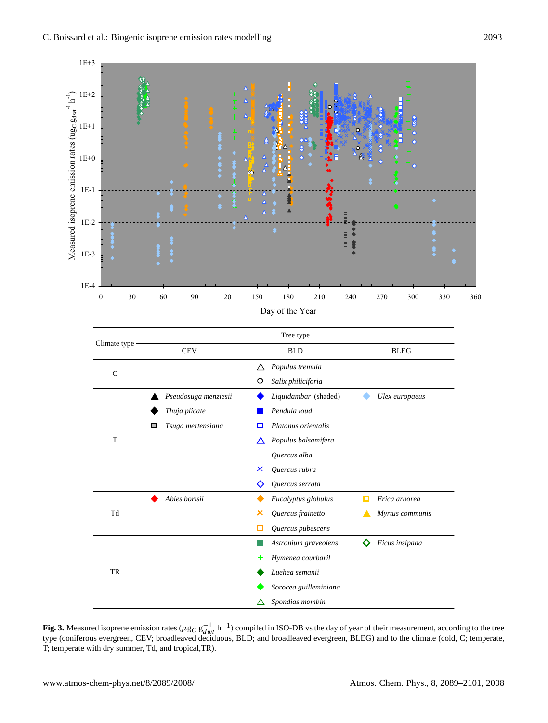

**Fig. 3.** Measured isoprene emission rates ( $\mu$ g<sub>C</sub> g<sub>dwt</sub> h<sup>-1</sup>) compiled in ISO-DB vs the day of year of their measurement, according to the tree type (coniferous evergreen, CEV; broadleaved deciduous, BLD; and broadleaved evergreen, BLEG) and to the climate (cold, C; temperate, T; temperate with dry summer, Td, and tropical,TR).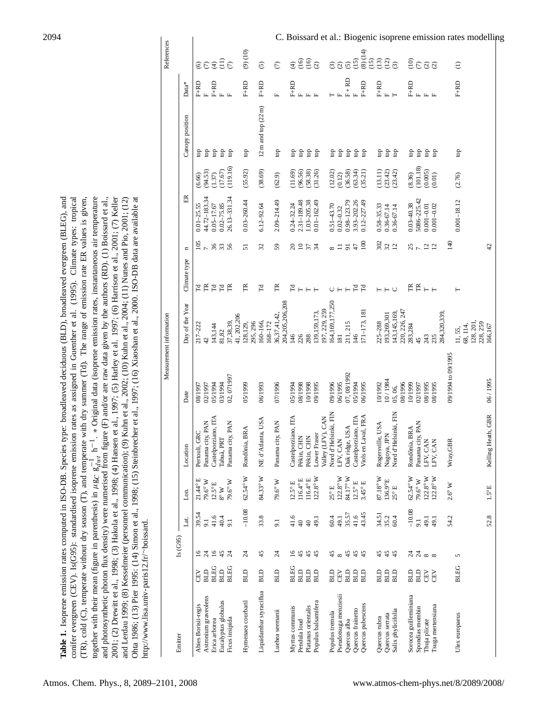| Table 1. Isoprene emission rates computed in ISO-DB. Species type: broadleaved deciduous (BLD), broadleaved evergreen (BLEG), and<br>comifer evergreen (CEV). Is(G95): standardised isoprene emission rates as assigned in Guenther et al. (1995). Climate types: tropical<br>$(TR)$ , cold $(C)$ , temperate without dry season $(T)$ , and temperate with dry summer $(Td)$ . The range of emission rate ER values is given, |
|--------------------------------------------------------------------------------------------------------------------------------------------------------------------------------------------------------------------------------------------------------------------------------------------------------------------------------------------------------------------------------------------------------------------------------|
| and photosynthetic photon flux density) were numerised from figure (F) and/or are raw data given by the authors (RD). (1) Boissard et al.,<br>together with their mean (figure in parenthesis) in $\mu$ g $_C$ g $_{Hnt}^{-1}$ h <sup>-1</sup> . * Original data (isoprene emission rates, instantaneous air temperature                                                                                                       |
| 2001; (2) Drewitt et al., 1998; (3) Hakola et al., 1998; (4) Hansen et al., 1997; (5) Harley et al., 1997; (6) Harrison et al., 2001; (7) Keller<br>and Lerdau 1999; (8) Kesselmeier (personnel communication); (9) Kuhn et al., 2002; (10) Kuhn et al., 2004; (11) Nunes and Pio, 2001; (12)                                                                                                                                  |
| Ohta 1986; (13) Pier 1995: (14) Simon et al., 1998; (15) Steinbrecher et al., 1997; (16) Xiaoshan et al., 2000. ISO-DB data are available at<br>http://www.lisa.univ-paris12.fr/~boissard.                                                                                                                                                                                                                                     |

|                         |             |                 |                |                             |                                     |                    | Measurement information         |                         |                |                                  |                        |                                         |                                 | References                             |
|-------------------------|-------------|-----------------|----------------|-----------------------------|-------------------------------------|--------------------|---------------------------------|-------------------------|----------------|----------------------------------|------------------------|-----------------------------------------|---------------------------------|----------------------------------------|
| Emitter                 |             | Is (G95)        | Lat.           | Lon.                        | Location                            | Date               | Day of the Year                 | Climate type            | $\mathbf{u}$   | $E$ R                            |                        | Canopy position                         | $\mathrm{Data}^*$               |                                        |
| Abies Borisii-regis     | <b>GEV</b>  | $\overline{16}$ | 39.54          | 21.44° E                    | Pertouli, GRC                       | 08/1997            | $217 - 222$                     | Fd                      | 105            | $0.01 - 25.55$                   | (6.66)                 | ĝ                                       | $F+RD$                          | $\widehat{\circ}$                      |
| Astronium graveolens    | <b>GTB</b>  | 24              | 9.1            | 79.6°W                      | Panama city, PAN                    | 02/1997            | 42                              | $\mathbb H$             | $\sim$         | 44.72-183.34                     | (94.53)                | g                                       | $\mathbf{L}$                    | $\epsilon$                             |
| Erica arborea           | <b>BLEG</b> | $\overline{6}$  | 41.6           | $12.5^{\circ}E$             | Castelporziano, ITA                 | 05/1994            | 143,144                         | $\mathbb{F}^{\text{d}}$ | 888            | $0.05 - 17.67$                   | (1.37)                 | fop                                     | $F+RD$                          | $\bigoplus$                            |
| Eucalyptus globulus     | <b>BLD</b>  | 45              | 40.4           | $8^\circ$ W                 | Tabuà, PRT                          | 03/1994            | 81,82                           |                         |                | $0.02 - 75.85$                   | (17.67)                | ĝ                                       | 国国                              | $\frac{1}{2}$                          |
| Ficus insipida          | <b>BLEG</b> | $\overline{24}$ | 9.1            | 79.6° W                     | Panama city, PAN                    | 02,071997          | 37,38,39,                       | E                       |                | 26.13-331.34                     | (119.16)               | top                                     |                                 | $\widehat{C}$                          |
|                         |             |                 |                |                             |                                     |                    | 41, 202, 206                    |                         |                |                                  |                        |                                         |                                 |                                        |
| Hymenaea courbaril      | <b>BLD</b>  | 24              | $-10.08$       | $62.54^{\circ}$ W           | Rondônia, BRA                       | 05/1999            | 128,129,<br>295, 296            | É                       | 51             | $0.03 - 260.44$                  | (55.92)                | p                                       | $F+RD$                          | $(9)$ $(10)$                           |
| Liquidambar styraciflua | <b>GTB</b>  | 45              | 33.8           | 84.33° W                    | NE d'Atlanta, USA                   | 06/1993            | 160-166,                        | $\Gamma$                | 32             | $6.12 - 92.64$                   | (38.69)                | $12 \text{ m}$ and top $(22 \text{ m})$ | $_{\rm F+RD}$                   | $\odot$                                |
|                         |             |                 |                |                             |                                     |                    | 168-172                         |                         |                |                                  |                        |                                         |                                 |                                        |
| Luehea seemanii         | ЯD          | 24              | 9.1            | 79.6°W                      | Panama city, PAN                    | 07/1996            | 204,205,206,208<br>36,37,41,42. | É                       | 59             | 2.09-214.49                      | (62.9)                 | fop                                     | $\mathbf{L}$                    | $\epsilon$                             |
| Myrtus communis         | <b>BLEG</b> | $\overline{16}$ | 41.6           | $12.5^{\circ}$ E            | Castelporziano, ITA                 | 05/1994            | 146                             | Fd                      | $\approx$      | $0.24 - 32.24$                   | (11.69)                | ĝ                                       | $F+RD$                          | $\widehat{t}$                          |
| Pendula loud            | ЯD          | 45              | $\mathfrak{g}$ | $116.4^{\circ}$ E           | Pékin, CHN                          | 08/1998            | 226                             | HHH                     | $\overline{a}$ | 2.31-189.48                      | (96.56)                | go                                      | $\mathbb{L}$                    | (16)                                   |
| Platanus orientalis     | ЯD          | 45              | $\mathfrak{q}$ | $116.4^{\circ}$ E           | Pékin, CHN                          | 10/1998            | 288                             |                         | 57             | $1.03 - 205.38$                  | (58.38)                | g                                       | 国工                              | (16)                                   |
| Populus balsamifera     | ЯD          | 45              | 49.1           | $122.8^{\circ}$ W           | Lower Fraser                        | 09/1995            | 139, 159, 173,                  |                         |                | $0.01 - 162.49$                  | (31.26)                | g                                       |                                 | $\odot$                                |
|                         |             |                 |                |                             | Valley (LFV), CAN                   |                    | 197, 229, 259                   |                         |                |                                  |                        |                                         |                                 |                                        |
| Populus tremula         | <b>GTB</b>  | 45              | 60.4           | $25^{\circ}$ E              | Nord d'Helsinki, FIN                | 09/1996            | 164,169,177,250                 | $\cup$                  | ${}^{\circ}$   | $0.51 - 43.70$                   | (12.02)                | ĝ                                       |                                 | $\odot$                                |
| Pseudotsuga menziesii   | <b>CEV</b>  | ${}^{\circ}$    | 49.1           | $122.8^{\circ}$ W           | LFV, CAN                            | 06/1995            | $\overline{181}$                |                         | コ              | $0.02 - 0.32$                    | (0.12)                 | ĝ                                       |                                 | $\odot$                                |
| Quercus alba            | <b>GTB</b>  | 45              | 35.57          | 84.17° W                    | Oak ridge, USA                      | 07,08/1992         | 211, 215                        | $\vdash$                | $\overline{5}$ | $0.98 - 123.79$                  | (36.58)                | ĝ                                       | $F + RD$<br>F                   | $\widehat{S}$                          |
| Quercus frainetto       | ЯD          | 45              | 41.6           | $12.5^{\circ}$ E            | Castelporziano, ITA                 | 05/1994            | 146                             | $\Gamma\!d$             | $\ddot{t}$     | 3.93-202.26                      | (63.34)                | g                                       |                                 | (15)                                   |
| Quercus pubescens       | ЯD          | 45              | 43.45          | $3.45^{\circ}$ E            | Viols en Laval, FRA                 | 06/1995            | 171-173, 181                    | $\Gamma$                | 100            | $0.12 - 227.49$                  | (35.21)                | g                                       | $F+RD$                          | (8)(14)                                |
|                         |             |                 |                |                             |                                     |                    |                                 |                         |                |                                  |                        |                                         |                                 | (15)                                   |
| Quercus rubra           | <b>GTB</b>  | 45              | 34.51          | $87.18^{\circ}\,\mathrm{W}$ | Rogersville, USA                    | 10/1992            | 225-288                         |                         | 302            | $0.58 - 35.33$                   | (13.11)                | ĝ                                       | $F+RD$                          | $\begin{pmatrix} 3 \\ 2 \end{pmatrix}$ |
| Quercus serrata         | ЯD          | 45              | $35.2$<br>60.4 | 136.9°E                     | Nagoya, JPN<br>Nord d'Helsinki, FIN | 10/1984            | 193,269,301                     | $H - U$                 | $22$           | $0.36 - 67.14$<br>$0.36 - 67.14$ | $(23.42)$<br>$(23.42)$ | ĝ                                       | $\mathbbmss{H}$ $\mathbbmss{H}$ |                                        |
| Salix phylicifolia      | ЯD          |                 |                | $25^{\circ}$ E              |                                     | 08/1996<br>05,06,  | 220, 226, 247<br>(43, 145, 169, |                         |                |                                  |                        | g                                       |                                 | $\widehat{\mathcal{C}}$                |
| Sorocea guilleminiana   | <b>GTB</b>  |                 | $-10.08$       | $62.54^{\circ}$ W           | Rondônia, BRA                       | 10/1999            | 283,284                         | 臣                       |                | $0.03 - 40.38$                   | (8.36)                 | ĝ                                       | $F+RD$                          | (10)                                   |
| Spondias mombin         | ЯD          |                 | 9.1            | 79.6° W                     | Panama city, PAN                    | 02/1997            | 45                              |                         | $\frac{25}{7}$ | 5086-225.42                      | (101.18)               | ĝ                                       |                                 |                                        |
| Thuja plicate           | EN          | 77888           | 49.1           | $122.8^{\circ}$ W           | /, CAN<br>LFV,                      | 08/1995            | 243                             | $E_{H}$                 |                | $0.001 - 0.01$                   | (0.005)                | ਹਿ                                      | 山 山 山                           | 69                                     |
| Tsuga mertensiana       | EV          |                 | 49.1           | $12.8^{\circ}$ W            | CAN<br>LFV.                         | 08/1995            | 235                             |                         | $\frac{2}{1}$  | $0.001 - 0.02$                   | (0.01)                 | g                                       |                                 |                                        |
|                         |             |                 |                |                             |                                     |                    | 284,320,339                     |                         |                |                                  |                        |                                         |                                 |                                        |
|                         |             |                 | 54.2           | $2.6^{\circ}$ W             | Wray, GBR                           | 09/1994 to 09/1995 |                                 |                         | 140            |                                  |                        |                                         |                                 |                                        |
| Ulex europaeus          | <b>BLEG</b> | 5               |                |                             |                                     |                    | 68, 114,<br>11,55,              | Н                       |                | $0.001 - 18.12$                  | (2.76)                 | ф                                       | $F+RD$                          | $\widehat{E}$                          |
|                         |             |                 |                |                             |                                     |                    | 128, 201,                       |                         |                |                                  |                        |                                         |                                 |                                        |
|                         |             |                 | 52.8           | $1.5^{\circ}E$              | Kelling Heath, GBR                  | 06/1995            | 228, 259<br>166,167             |                         | $\overline{4}$ |                                  |                        |                                         |                                 |                                        |
|                         |             |                 |                |                             |                                     |                    |                                 |                         |                |                                  |                        |                                         |                                 |                                        |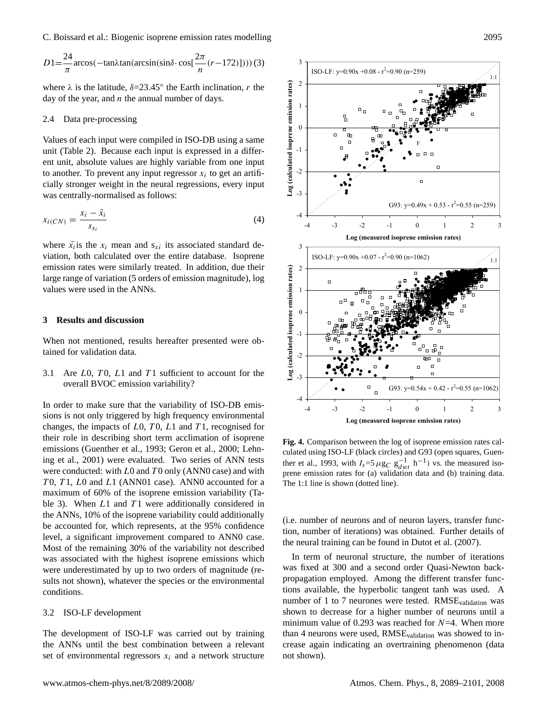C. Boissard et al.: Biogenic isoprene emission rates modelling 2095

$$
D1 = \frac{24}{\pi} \arccos(-\tan\lambda \tan(\arcsin(\sin\delta \cdot \cos\left(\frac{2\pi}{n}(r-172)\right)))) (3)
$$

where  $\lambda$  is the latitude,  $\delta = 23.45^\circ$  the Earth inclination, r the day of the year, and  $n$  the annual number of days.

#### 2.4 Data pre-processing

Values of each input were compiled in ISO-DB using a same unit (Table 2). Because each input is expressed in a different unit, absolute values are highly variable from one input to another. To prevent any input regressor  $x_i$  to get an artificially stronger weight in the neural regressions, every input was centrally-normalised as follows:

$$
x_{i(CN)} = \frac{x_i - \bar{x}_i}{s_{x_i}}\tag{4}
$$

where  $\bar{x}_i$  is the  $x_i$  mean and  $s_{xi}$  its associated standard deviation, both calculated over the entire database. Isoprene emission rates were similarly treated. In addition, due their large range of variation (5 orders of emission magnitude), log values were used in the ANNs.

#### **3 Results and discussion**

When not mentioned, results hereafter presented were obtained for validation data.

3.1 Are  $L0$ ,  $T0$ ,  $L1$  and  $T1$  sufficient to account for the overall BVOC emission variability?

In order to make sure that the variability of ISO-DB emissions is not only triggered by high frequency environmental changes, the impacts of  $L0$ ,  $T0$ ,  $L1$  and  $T1$ , recognised for their role in describing short term acclimation of isoprene emissions (Guenther et al., 1993; Geron et al., 2000; Lehning et al., 2001) were evaluated. Two series of ANN tests were conducted: with  $L0$  and  $T0$  only (ANN0 case) and with T0, T1, L0 and L1 (ANN01 case). ANN0 accounted for a maximum of 60% of the isoprene emission variability (Table 3). When  $L1$  and  $T1$  were additionally considered in the ANNs, 10% of the isoprene variability could additionally be accounted for, which represents, at the 95% confidence level, a significant improvement compared to ANN0 case. Most of the remaining 30% of the variability not described was associated with the highest isoprene emissions which were underestimated by up to two orders of magnitude (results not shown), whatever the species or the environmental conditions.

#### 3.2 ISO-LF development

The development of ISO-LF was carried out by training the ANNs until the best combination between a relevant set of environmental regressors  $x_i$  and a network structure



**Fig. 4.** Comparison between the log of isoprene emission rates calculated using ISO-LF (black circles) and G93 (open squares, Guenther et al., 1993, with  $I_s = 5 \mu g_C g_{dwt}^{-1} h^{-1}$  vs. the measured isoprene emission rates for (a) validation data and (b) training data. The 1:1 line is shown (dotted line).

(i.e. number of neurons and of neuron layers, transfer function, number of iterations) was obtained. Further details of the neural training can be found in Dutot et al. (2007).

In term of neuronal structure, the number of iterations was fixed at 300 and a second order Quasi-Newton backpropagation employed. Among the different transfer functions available, the hyperbolic tangent tanh was used. A number of 1 to 7 neurones were tested. RMSEvalidation was shown to decrease for a higher number of neurons until a minimum value of 0.293 was reached for  $N=4$ . When more than 4 neurons were used, RMSEvalidation was showed to increase again indicating an overtraining phenomenon (data not shown).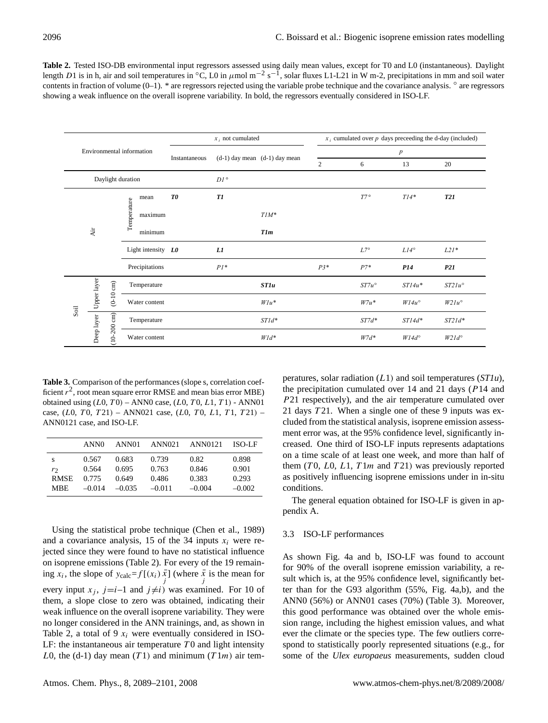**Table 2.** Tested ISO-DB environmental input regressors assessed using daily mean values, except for T0 and L0 (instantaneous). Daylight length D1 is in h, air and soil temperatures in °C, L0 in  $\mu$ mol m<sup>-2</sup> s<sup>-1</sup>, solar fluxes L1-L21 in W m-2, precipitations in mm and soil water contents in fraction of volume (0–1). \* are regressors rejected using the variable probe technique and the covariance analysis. ° are regressors showing a weak influence on the overall isoprene variability. In bold, the regressors eventually considered in ISO-LF.

|                          |            |                           |                        |                      |               | $x_i$ not cumulated |                                   |                  | $x_i$ cumulated over p days preceeding the d-day (included) |                |                 |  |
|--------------------------|------------|---------------------------|------------------------|----------------------|---------------|---------------------|-----------------------------------|------------------|-------------------------------------------------------------|----------------|-----------------|--|
| Air<br>Upper layer       |            | Environmental information |                        |                      | Instantaneous |                     | $(d-1)$ day mean $(d-1)$ day mean | $\boldsymbol{p}$ |                                                             |                |                 |  |
|                          |            |                           |                        |                      |               |                     |                                   | 2                | 6                                                           | 13             | 20              |  |
|                          |            | Daylight duration         |                        |                      |               | $DI$ $^{\circ}$     |                                   |                  |                                                             |                |                 |  |
|                          |            |                           | mean                   |                      | T0            | T1                  |                                   |                  | $T7^{\circ}$                                                | $T14*$         | <b>T21</b>      |  |
|                          |            |                           | Temperature<br>maximum |                      |               |                     | $TIM^*$                           |                  |                                                             |                |                 |  |
|                          |            |                           | minimum                |                      |               |                     | <b>T1m</b>                        |                  |                                                             |                |                 |  |
|                          |            |                           |                        | Light intensity $L0$ |               | L1                  |                                   |                  | $L7^{\circ}$                                                | $LI4^{\circ}$  | $L2I*$          |  |
|                          |            |                           |                        | Precipitations       |               | $PI^*$              |                                   | $P3*$            | $P7*$                                                       | P14            | P21             |  |
|                          |            | $(0-10 \text{ cm})$       |                        | Temperature          |               |                     | <b>ST1u</b>                       |                  | $ST7u^{\circ}$                                              | $STI4u*$       | $ST21u^{\circ}$ |  |
| $\mathop{\mathrm{Soil}}$ |            |                           |                        | Water content        |               |                     | $W1u^*$                           |                  | $W7u^*$                                                     | $W14u^{\circ}$ | $W2Iu^{\circ}$  |  |
|                          | Deep layer |                           |                        | Temperature          |               |                     | $STId^*$                          |                  | $ST7d*$                                                     | $STI4d*$       | $ST2Id*$        |  |
|                          |            | $(10-200 \text{ cm})$     |                        | Water content        |               |                     | $W1d^*$                           |                  | $W7d^*$                                                     | $W14d^{\circ}$ | $W2Id^{\circ}$  |  |

**Table 3.** Comparison of the performances (slope s, correlation coefficient  $r^2$ , root mean square error RMSE and mean bias error MBE) obtained using  $(L0, T0)$  – ANN0 case,  $(L0, T0, L1, T1)$  - ANN01 case,  $(L0, T0, T21)$  – ANN021 case,  $(L0, T0, L1, T1, T21)$  – ANN0121 case, and ISO-LF.

|             | ANN <sub>0</sub> | ANN <sub>01</sub> | ANN021   | ANN0121  | ISO-LF   |
|-------------|------------------|-------------------|----------|----------|----------|
| S           | 0.567            | 0.683             | 0.739    | 0.82     | 0.898    |
| r           | 0.564            | 0.695             | 0.763    | 0.846    | 0.901    |
| <b>RMSE</b> | 0.775            | 0.649             | 0.486    | 0.383    | 0.293    |
| MBE         | $-0.014$         | $-0.035$          | $-0.011$ | $-0.004$ | $-0.002$ |

Using the statistical probe technique (Chen et al., 1989) and a covariance analysis, 15 of the 34 inputs  $x_i$  were rejected since they were found to have no statistical influence on isoprene emissions (Table 2). For every of the 19 remaining  $x_i$ , the slope of  $y_{\text{calc}} = f[(x_i)\overline{x}]$  (where  $\overline{x}$  is the mean for every input  $x_j$ ,  $j=i-1$  and  $j\neq i$ ) was examined. For 10 of them, a slope close to zero was obtained, indicating their weak influence on the overall isoprene variability. They were no longer considered in the ANN trainings, and, as shown in Table 2, a total of 9  $x_i$  were eventually considered in ISO-LF: the instantaneous air temperature  $T_0$  and light intensity L0, the (d-1) day mean (T1) and minimum (T1m) air temperatures, solar radiation (L1) and soil temperatures (*ST1u*), the precipitation cumulated over 14 and 21 days (P14 and P21 respectively), and the air temperature cumulated over 21 days  $T21$ . When a single one of these 9 inputs was excluded from the statistical analysis, isoprene emission assessment error was, at the 95% confidence level, significantly increased. One third of ISO-LF inputs represents adaptations on a time scale of at least one week, and more than half of them  $(T0, L0, L1, T1m$  and  $T21)$  was previously reported as positively influencing isoprene emissions under in in-situ conditions.

The general equation obtained for ISO-LF is given in appendix A.

#### 3.3 ISO-LF performances

As shown Fig. 4a and b, ISO-LF was found to account for 90% of the overall isoprene emission variability, a result which is, at the 95% confidence level, significantly better than for the G93 algorithm (55%, Fig. 4a,b), and the ANN0 (56%) or ANN01 cases (70%) (Table 3). Moreover, this good performance was obtained over the whole emission range, including the highest emission values, and what ever the climate or the species type. The few outliers correspond to statistically poorly represented situations (e.g., for some of the *Ulex europaeus* measurements, sudden cloud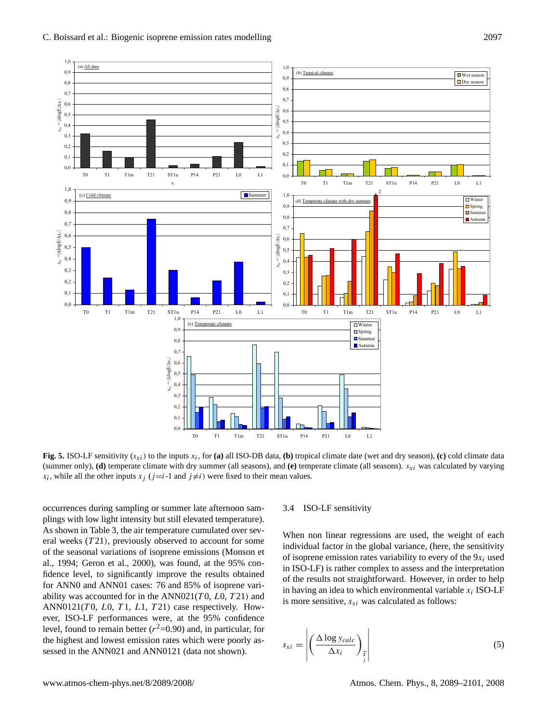

**Fig. 5.** ISO-LF sensitivity  $(s_{xi})$  to the inputs  $x_i$ , for (a) all ISO-DB data, (b) tropical climate date (wet and dry season), (c) cold climate data (summer only),  $(d)$  temperate climate with dry summer (all seasons), and  $(e)$  temperate climate (all seasons).  $s_{xi}$  was calculated by varying  $x_i$ , while all the other inputs  $x_j$  ( $j=i-1$  and  $j\neq i$ ) were fixed to their mean values.

occurrences during sampling or summer late afternoon samplings with low light intensity but still elevated temperature). As shown in Table 3, the air temperature cumulated over several weeks  $(T21)$ , previously observed to account for some of the seasonal variations of isoprene emissions (Monson et al., 1994; Geron et al., 2000), was found, at the 95% confidence level, to significantly improve the results obtained for ANN0 and ANN01 cases: 76 and 85% of isoprene variability was accounted for in the  $ANN021(T0, L0, T21)$  and ANN0121(T0, L0, T1, L1, T21) case respectively. However, ISO-LF performances were, at the 95% confidence level, found to remain better ( $r^2$ =0.90) and, in particular, for the highest and lowest emission rates which were poorly assessed in the ANN021 and ANN0121 (data not shown).

#### 3.4 ISO-LF sensitivity

When non linear regressions are used, the weight of each individual factor in the global variance, (here, the sensitivity of isoprene emission rates variability to every of the  $9x_i$  used in ISO-LF) is rather complex to assess and the interpretation of the results not straightforward. However, in order to help in having an idea to which environmental variable  $x_i$  ISO-LF is more sensitive,  $s_{xi}$  was calculated as follows:

$$
s_{xi} = \left| \left( \frac{\Delta \log y_{calc}}{\Delta x_i} \right)_{\overline{x}} \right| \tag{5}
$$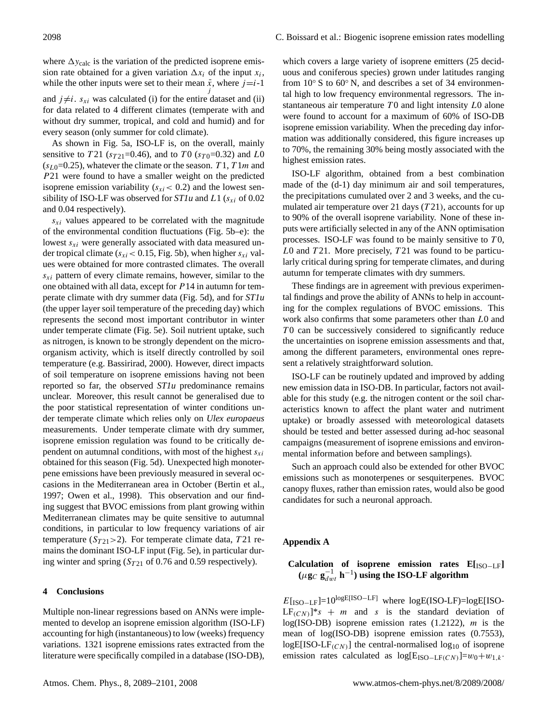where  $\Delta y_{\text{calc}}$  is the variation of the predicted isoprene emission rate obtained for a given variation  $\Delta x_i$  of the input  $x_i$ , while the other inputs were set to their mean  $\overline{x}$ , where  $j=i-1$ and  $j \neq i$ .  $s_{xi}$  was calculated (i) for the entire dataset and (ii) for data related to 4 different climates (temperate with and without dry summer, tropical, and cold and humid) and for every season (only summer for cold climate).

As shown in Fig. 5a, ISO-LF is, on the overall, mainly sensitive to T21 ( $s_{T21}=0.46$ ), and to T0 ( $s_{T0}=0.32$ ) and L0  $(s_{L0}=0.25)$ , whatever the climate or the season. T 1, T 1m and P21 were found to have a smaller weight on the predicted isoprene emission variability  $(s_{xi} < 0.2)$  and the lowest sensibility of ISO-LF was observed for  $ST1u$  and  $L1$  ( $s_{xi}$  of 0.02 and 0.04 respectively).

 $s_{xi}$  values appeared to be correlated with the magnitude of the environmental condition fluctuations (Fig. 5b–e): the lowest  $s_{xi}$  were generally associated with data measured under tropical climate ( $s_{xi}$  < 0.15, Fig. 5b), when higher  $s_{xi}$  values were obtained for more contrasted climates. The overall  $s_{xi}$  pattern of every climate remains, however, similar to the one obtained with all data, except for  $P14$  in autumn for temperate climate with dry summer data (Fig. 5d), and for *ST1u* (the upper layer soil temperature of the preceding day) which represents the second most important contributor in winter under temperate climate (Fig. 5e). Soil nutrient uptake, such as nitrogen, is known to be strongly dependent on the microorganism activity, which is itself directly controlled by soil temperature (e.g. Bassirirad, 2000). However, direct impacts of soil temperature on isoprene emissions having not been reported so far, the observed *ST1u* predominance remains unclear. Moreover, this result cannot be generalised due to the poor statistical representation of winter conditions under temperate climate which relies only on *Ulex europaeus* measurements. Under temperate climate with dry summer, isoprene emission regulation was found to be critically dependent on autumnal conditions, with most of the highest  $s_{xi}$ obtained for this season (Fig. 5d). Unexpected high monoterpene emissions have been previously measured in several occasions in the Mediterranean area in October (Bertin et al., 1997; Owen et al., 1998). This observation and our finding suggest that BVOC emissions from plant growing within Mediterranean climates may be quite sensitive to autumnal conditions, in particular to low frequency variations of air temperature ( $S_{T21} > 2$ ). For temperate climate data, T21 remains the dominant ISO-LF input (Fig. 5e), in particular during winter and spring  $(S_{T21}$  of 0.76 and 0.59 respectively).

#### **4 Conclusions**

Multiple non-linear regressions based on ANNs were implemented to develop an isoprene emission algorithm (ISO-LF) accounting for high (instantaneous) to low (weeks) frequency variations. 1321 isoprene emissions rates extracted from the literature were specifically compiled in a database (ISO-DB),

which covers a large variety of isoprene emitters (25 deciduous and coniferous species) grown under latitudes ranging from  $10° S$  to  $60° N$ , and describes a set of 34 environmental high to low frequency environmental regressors. The instantaneous air temperature  $T_0$  and light intensity  $L_0$  alone were found to account for a maximum of 60% of ISO-DB isoprene emission variability. When the preceding day information was additionally considered, this figure increases up to 70%, the remaining 30% being mostly associated with the highest emission rates.

ISO-LF algorithm, obtained from a best combination made of the (d-1) day minimum air and soil temperatures, the precipitations cumulated over 2 and 3 weeks, and the cumulated air temperature over 21 days  $(T21)$ , accounts for up to 90% of the overall isoprene variability. None of these inputs were artificially selected in any of the ANN optimisation processes. ISO-LF was found to be mainly sensitive to  $T0$ ,  $L0$  and  $T21$ . More precisely,  $T21$  was found to be particularly critical during spring for temperate climates, and during autumn for temperate climates with dry summers.

These findings are in agreement with previous experimental findings and prove the ability of ANNs to help in accounting for the complex regulations of BVOC emissions. This work also confirms that some parameters other than L0 and  $T0$  can be successively considered to significantly reduce the uncertainties on isoprene emission assessments and that, among the different parameters, environmental ones represent a relatively straightforward solution.

ISO-LF can be routinely updated and improved by adding new emission data in ISO-DB. In particular, factors not available for this study (e.g. the nitrogen content or the soil characteristics known to affect the plant water and nutriment uptake) or broadly assessed with meteorological datasets should be tested and better assessed during ad-hoc seasonal campaigns (measurement of isoprene emissions and environmental information before and between samplings).

Such an approach could also be extended for other BVOC emissions such as monoterpenes or sesquiterpenes. BVOC canopy fluxes, rather than emission rates, would also be good candidates for such a neuronal approach.

#### **Appendix A**

# **Calculation of isoprene emission rates E[**ISO−LF**]**  $(\mu \mathbf{g}_C \mathbf{g}_{dwt}^{-1} \mathbf{h}^{-1})$  using the ISO-LF algorithm

 $E$ [ISO–LF]=10<sup>logE[ISO–LF]</sup> where logE(ISO-LF)=logE[ISO- $LF_{(CN)}$ <sup>\*</sup>s + *m* and *s* is the standard deviation of log(ISO-DB) isoprene emission rates  $(1.2122)$ , m is the mean of log(ISO-DB) isoprene emission rates (0.7553),  $logE[ISO-LF<sub>(CN)</sub>]$  the central-normalised  $log_{10}$  of isoprene emission rates calculated as log[E<sub>ISO−LF(CN)</sub>]= $w_0+w_{1,k}$ .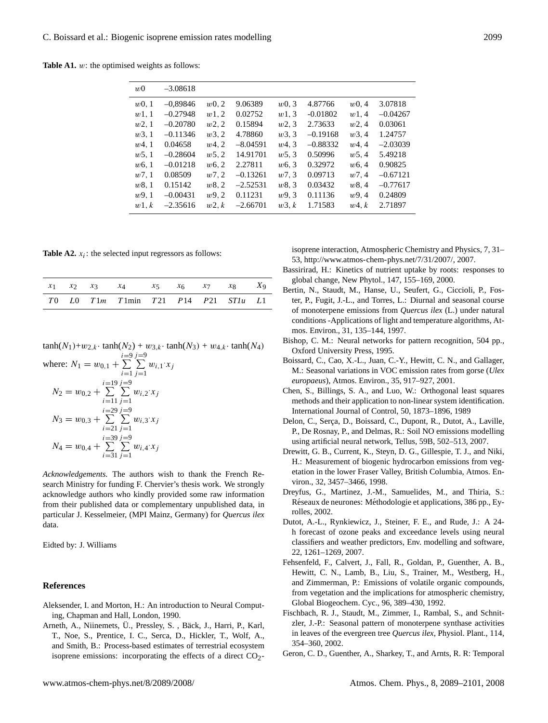**Table A1.** w: the optimised weights as follows:

| w <sub>0</sub> | $-3.08618$ |          |            |          |            |            |            |
|----------------|------------|----------|------------|----------|------------|------------|------------|
| $w0$ , 1       | $-0.89846$ | $w0$ , 2 | 9.06389    | $w0$ , 3 | 4.87766    | $w0$ , 4   | 3.07818    |
| w1,1           | $-0.27948$ | w1,2     | 0.02752    | w1,3     | $-0.01802$ | w1,4       | $-0.04267$ |
| w2,1           | $-0.20780$ | w2,2     | 0.15894    | $w_2, 3$ | 2.73633    | $w_2, 4$   | 0.03061    |
| w3,1           | $-0.11346$ | w3,2     | 4.78860    | w3, 3    | $-0.19168$ | w3, 4      | 1.24757    |
| w4,1           | 0.04658    | w4,2     | $-8.04591$ | w4.3     | $-0.88332$ | w4.4       | $-2.03039$ |
| w5,1           | $-0.28604$ | w5, 2    | 14.91701   | w5, 3    | 0.50996    | w5, 4      | 5.49218    |
| w6,1           | $-0.01218$ | w6, 2    | 2.27811    | w6, 3    | 0.32972    | w6, 4      | 0.90825    |
| w7,1           | 0.08509    | w7, 2    | $-0.13261$ | w7, 3    | 0.09713    | w7,4       | $-0.67121$ |
| w8,1           | 0.15142    | w8,2     | $-2.52531$ | w8,3     | 0.03432    | w8.4       | $-0.77617$ |
| w9.1           | $-0.00431$ | w9,2     | 0.11231    | w9.3     | 0.11136    | w9.4       | 0.24809    |
| w1, k          | $-2.35616$ | $w^2, k$ | $-2.66701$ | w3, k    | 1.71583    | $w$ 4. $k$ | 2.71897    |
|                |            |          |            |          |            |            |            |

**Table A2.**  $x_i$ : the selected input regressors as follows:

|  | $x_1$ $x_2$ $x_3$ $x_4$ $x_5$ $x_6$ $x_7$ $x_8$ $x_9$ |  |  |  |
|--|-------------------------------------------------------|--|--|--|
|  | $T0$ $L0$ $T1m$ $T1min$ $T21$ $P14$ $P21$ $ST1u$ $L1$ |  |  |  |

 $tanh(N_1)+w_{2,k} \cdot tanh(N_2) + w_{3,k} \cdot tanh(N_3) + w_{4,k} \cdot tanh(N_4)$ 

where: 
$$
N_1 = w_{0,1} + \sum_{i=1}^{i=9} \sum_{j=1}^{j=9} w_{i,1}x_j
$$
  
\n $N_2 = w_{0,2} + \sum_{i=11}^{i=19} \sum_{j=1}^{j=9} w_{i,2}x_j$   
\n $N_3 = w_{0,3} + \sum_{i=21}^{i=29} \sum_{j=1}^{j=9} w_{i,3}x_j$   
\n $N_4 = w_{0,4} + \sum_{i=31}^{i=39} \sum_{j=1}^{j=9} w_{i,4}x_j$ 

*Acknowledgements.* The authors wish to thank the French Research Ministry for funding F. Chervier's thesis work. We strongly acknowledge authors who kindly provided some raw information from their published data or complementary unpublished data, in particular J. Kesselmeier, (MPI Mainz, Germany) for *Quercus ilex* data.

Eidted by: J. Williams

## **References**

- Aleksender, I. and Morton, H.: An introduction to Neural Computing, Chapman and Hall, London, 1990.
- Arneth, A., Niinemets, U., Pressley, S., Bäck, J., Harri, P., Karl, T., Noe, S., Prentice, I. C., Serca, D., Hickler, T., Wolf, A., and Smith, B.: Process-based estimates of terrestrial ecosystem isoprene emissions: incorporating the effects of a direct  $CO<sub>2</sub>$ -

isoprene interaction, Atmospheric Chemistry and Physics, 7, 31– 53, [http://www.atmos-chem-phys.net/7/31/2007/,](http://www.atmos-chem-phys.net/7/31/2007/) 2007.

- Bassirirad, H.: Kinetics of nutrient uptake by roots: responses to global change, New Phytol., 147, 155–169, 2000.
- Bertin, N., Staudt, M., Hanse, U., Seufert, G., Ciccioli, P., Foster, P., Fugit, J.-L., and Torres, L.: Diurnal and seasonal course of monoterpene emissions from *Quercus ilex* (L.) under natural conditions -Applications of light and temperature algorithms, Atmos. Environ., 31, 135–144, 1997.
- Bishop, C. M.: Neural networks for pattern recognition, 504 pp., Oxford University Press, 1995.
- Boissard, C., Cao, X.-L., Juan, C.-Y., Hewitt, C. N., and Gallager, M.: Seasonal variations in VOC emission rates from gorse (*Ulex europaeus*), Atmos. Environ., 35, 917–927, 2001.
- Chen, S., Billings, S. A., and Luo, W.: Orthogonal least squares methods and their application to non-linear system identification. International Journal of Control, 50, 1873–1896, 1989
- Delon, C., Serça, D., Boissard, C., Dupont, R., Dutot, A., Laville, P., De Rosnay, P., and Delmas, R.: Soil NO emissions modelling using artificial neural network, Tellus, 59B, 502–513, 2007.
- Drewitt, G. B., Current, K., Steyn, D. G., Gillespie, T. J., and Niki, H.: Measurement of biogenic hydrocarbon emissions from vegetation in the lower Fraser Valley, British Columbia, Atmos. Environ., 32, 3457–3466, 1998.
- Dreyfus, G., Martinez, J.-M., Samuelides, M., and Thiria, S.: Réseaux de neurones: Méthodologie et applications, 386 pp., Eyrolles, 2002.
- Dutot, A.-L., Rynkiewicz, J., Steiner, F. E., and Rude, J.: A 24 h forecast of ozone peaks and exceedance levels using neural classifiers and weather predictors, Env. modelling and software, 22, 1261–1269, 2007.
- Fehsenfeld, F., Calvert, J., Fall, R., Goldan, P., Guenther, A. B., Hewitt, C. N., Lamb, B., Liu, S., Trainer, M., Westberg, H., and Zimmerman, P.: Emissions of volatile organic compounds, from vegetation and the implications for atmospheric chemistry, Global Biogeochem. Cyc., 96, 389–430, 1992.
- Fischbach, R. J., Staudt, M., Zimmer, I., Rambal, S., and Schnitzler, J.-P.: Seasonal pattern of monoterpene synthase activities in leaves of the evergreen tree *Quercus ilex*, Physiol. Plant., 114, 354–360, 2002.
- Geron, C. D., Guenther, A., Sharkey, T., and Arnts, R. R: Temporal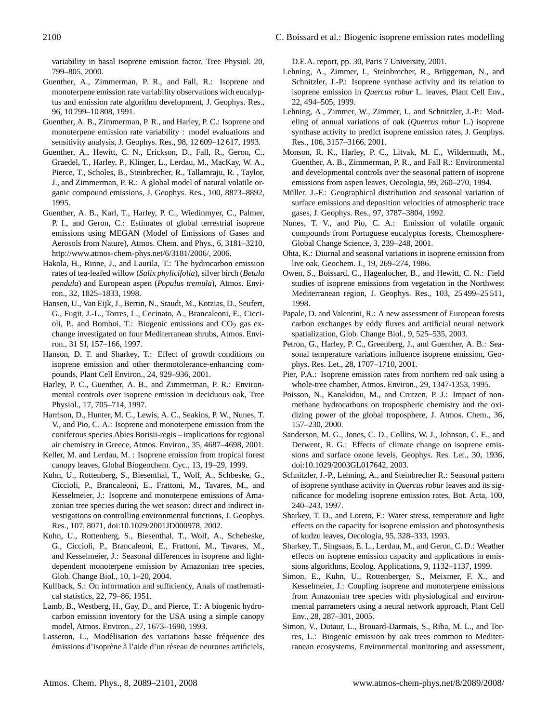variability in basal isoprene emission factor, Tree Physiol. 20, 799–805, 2000.

- Guenther, A., Zimmerman, P. R., and Fall, R.: Isoprene and monoterpene emission rate variability observations with eucalyptus and emission rate algorithm development, J. Geophys. Res., 96, 10 799–10 808, 1991.
- Guenther, A. B., Zimmerman, P. R., and Harley, P. C.: Isoprene and monoterpene emission rate variability : model evaluations and sensitivity analysis, J. Geophys. Res., 98, 12 609–12 617, 1993.
- Guenther, A., Hewitt, C. N., Erickson, D., Fall, R., Geron, C., Graedel, T., Harley, P., Klinger, L., Lerdau, M., MacKay, W. A., Pierce, T., Scholes, B., Steinbrecher, R., Tallamraju, R. , Taylor, J., and Zimmerman, P. R.: A global model of natural volatile organic compound emissions, J. Geophys. Res., 100, 8873–8892, 1995.
- Guenther, A. B., Karl, T., Harley, P. C., Wiedinmyer, C., Palmer, P. I., and Geron, C.: Estimates of global terrestrial isoprene emissions using MEGAN (Model of Emissions of Gases and Aerosols from Nature), Atmos. Chem. and Phys., 6, 3181–3210, [http://www.atmos-chem-phys.net/6/3181/2006/,](http://www.atmos-chem-phys.net/6/3181/2006/) 2006.
- Hakola, H., Rinne, J., and Laurila, T.: The hydrocarbon emission rates of tea-leafed willow (*Salix phylicifolia*), silver birch (*Betula pendula*) and European aspen (*Populus tremula*), Atmos. Environ., 32, 1825–1833, 1998.
- Hansen, U., Van Eijk, J., Bertin, N., Staudt, M., Kotzias, D., Seufert, G., Fugit, J.-L., Torres, L., Cecinato, A., Brancaleoni, E., Ciccioli, P., and Bomboi, T.: Biogenic emissions and  $CO<sub>2</sub>$  gas exchange investigated on four Mediterranean shrubs, Atmos. Environ., 31 SI, 157–166, 1997.
- Hanson, D. T. and Sharkey, T.: Effect of growth conditions on isoprene emission and other thermotolerance-enhancing compounds, Plant Cell Environ., 24, 929–936, 2001.
- Harley, P. C., Guenther, A. B., and Zimmerman, P. R.: Environmental controls over isoprene emission in deciduous oak, Tree Physiol., 17, 705–714, 1997.
- Harrison, D., Hunter, M. C., Lewis, A. C., Seakins, P. W., Nunes, T. V., and Pio, C. A.: Isoprene and monoterpene emission from the coniferous species Abies Borisii-regis – implications for regional air chemistry in Greece, Atmos. Environ., 35, 4687–4698, 2001.
- Keller, M. and Lerdau, M. : Isoprene emission from tropical forest canopy leaves, Global Biogeochem. Cyc., 13, 19–29, 1999.
- Kuhn, U., Rottenberg, S., Biesenthal, T., Wolf, A., Schbeske, G., Ciccioli, P., Brancaleoni, E., Frattoni, M., Tavares, M., and Kesselmeier, J.: Isoprene and monoterpene emissions of Amazonian tree species during the wet season: direct and indirect investigations on controlling environmental functions, J. Geophys. Res., 107, 8071, doi:10.1029/2001JD000978, 2002.
- Kuhn, U., Rottenberg, S., Biesenthal, T., Wolf, A., Schebeske, G., Ciccioli, P., Brancaleoni, E., Frattoni, M., Tavares, M., and Kesselmeier, J.: Seasonal differences in isoprene and lightdependent monoterpene emission by Amazonian tree species, Glob. Change Biol., 10, 1–20, 2004.
- Kullback, S.: On information and sufficiency, Anals of mathematical statistics, 22, 79–86, 1951.
- Lamb, B., Westberg, H., Gay, D., and Pierce, T.: A biogenic hydrocarbon emission inventory for the USA using a simple canopy model, Atmos. Environ., 27, 1673–1690, 1993.
- Lasseron, L., Modélisation des variations basse fréquence des émissions d'isoprène à l'aide d'un réseau de neurones artificiels,

D.E.A. report, pp. 30, Paris 7 University, 2001.

- Lehning, A., Zimmer, I., Steinbrecher, R., Brüggeman, N., and Schnitzler, J.-P.: Isoprene synthase activity and its relation to isoprene emission in *Quercus robur* L. leaves, Plant Cell Env., 22, 494–505, 1999.
- Lehning, A., Zimmer, W., Zimmer, I., and Schnitzler, J.-P.: Modeling of annual variations of oak (*Quercus robur* L.) isoprene synthase activity to predict isoprene emission rates, J. Geophys. Res., 106, 3157–3166, 2001.
- Monson, R. K., Harley, P. C., Litvak, M. E., Wildermuth, M., Guenther, A. B., Zimmerman, P. R., and Fall R.: Environmental and developmental controls over the seasonal pattern of isoprene emissions from aspen leaves, Oecologia, 99, 260–270, 1994.
- Müller, J.-F.: Geographical distribution and seasonal variation of surface emissions and deposition velocities of atmospheric trace gases, J. Geophys. Res., 97, 3787–3804, 1992.
- Nunes, T. V., and Pio, C. A.: Emission of volatile organic compounds from Portuguese eucalyptus forests, Chemosphere-Global Change Science, 3, 239–248, 2001.
- Ohta, K.: Diurnal and seasonal variations in isoprene emission from live oak, Geochem. J., 19, 269–274, 1986.
- Owen, S., Boissard, C., Hagenlocher, B., and Hewitt, C. N.: Field studies of isoprene emissions from vegetation in the Northwest Mediterranean region, J. Geophys. Res., 103, 25 499–25 511, 1998.
- Papale, D. and Valentini, R.: A new assessment of European forests carbon exchanges by eddy fluxes and artificial neural network spatialization, Glob. Change Biol., 9, 525–535, 2003.
- Petron, G., Harley, P. C., Greenberg, J., and Guenther, A. B.: Seasonal temperature variations influence isoprene emission, Geophys. Res. Let., 28, 1707–1710, 2001.
- Pier, P.A.: Isoprene emission rates from northern red oak using a whole-tree chamber, Atmos. Environ., 29, 1347-1353, 1995.
- Poisson, N., Kanakidou, M., and Crutzen, P. J.: Impact of nonmethane hydrocarbons on tropospheric chemistry and the oxidizing power of the global troposphere, J. Atmos. Chem., 36, 157–230, 2000.
- Sanderson, M. G., Jones, C. D., Collins, W. J., Johnson, C. E., and Derwent, R. G.: Effects of climate change on isoprene emissions and surface ozone levels, Geophys. Res. Let., 30, 1936, doi:10.1029/2003GL017642, 2003.
- Schnitzler, J.-P., Lehning, A., and Steinbrecher R.: Seasonal pattern of isoprene synthase activity in *Quercus robur* leaves and its significance for modeling isoprene emission rates, Bot. Acta, 100, 240–243, 1997.
- Sharkey, T. D., and Loreto, F.: Water stress, temperature and light effects on the capacity for isoprene emission and photosynthesis of kudzu leaves, Oecologia, 95, 328–333, 1993.
- Sharkey, T., Singsaas, E. L., Lerdau, M., and Geron, C. D.: Weather effects on isoprene emission capacity and applications in emissions algorithms, Ecolog. Applications, 9, 1132–1137, 1999.
- Simon, E., Kuhn, U., Rottenberger, S., Meixmer, F. X., and Kesselmeier, J.: Coupling isoprene and monoterpene emissions from Amazonian tree species with physiological and environmental parrameters using a neural network approach, Plant Cell Env., 28, 287–301, 2005.
- Simon, V., Dutaur, L., Brouard-Darmais, S., Riba, M. L., and Torres, L.: Biogenic emission by oak trees common to Mediterranean ecosystems, Environmental monitoring and assessment,